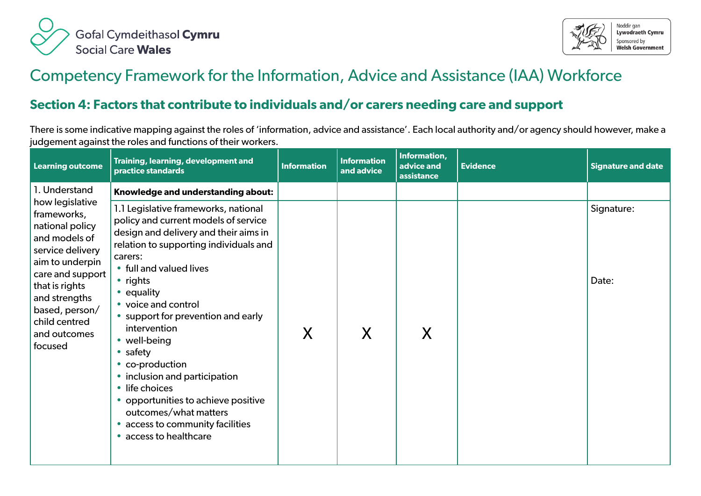



## Competency Framework for the Information, Advice and Assistance (IAA) Workforce

## **Section 4: Factors that contribute to individuals and/or carers needing care and support**

There is some indicative mapping against the roles of 'information, advice and assistance'. Each local authority and/or agency should however, make a judgement against the roles and functions of their workers.

| <b>Learning outcome</b>                                                                                                                                                                                                                         | Training, learning, development and<br>practice standards                                                                                                                                                                                                                                                                          | <b>Information</b> | <b>Information</b><br>and advice | Information,<br>advice and<br>assistance | <b>Evidence</b> | <b>Signature and date</b> |
|-------------------------------------------------------------------------------------------------------------------------------------------------------------------------------------------------------------------------------------------------|------------------------------------------------------------------------------------------------------------------------------------------------------------------------------------------------------------------------------------------------------------------------------------------------------------------------------------|--------------------|----------------------------------|------------------------------------------|-----------------|---------------------------|
| 1. Understand<br>how legislative<br>frameworks,<br>national policy<br>and models of<br>service delivery<br>aim to underpin<br>care and support<br>that is rights<br>and strengths<br>based, person/<br>child centred<br>and outcomes<br>focused | Knowledge and understanding about:<br>1.1 Legislative frameworks, national<br>policy and current models of service<br>design and delivery and their aims in<br>relation to supporting individuals and<br>carers:<br>• full and valued lives<br>• rights<br>• equality<br>• voice and control<br>• support for prevention and early |                    |                                  |                                          |                 | Signature:<br>Date:       |
|                                                                                                                                                                                                                                                 | intervention<br>• well-being<br>$\bullet$ safety<br>• co-production<br>• inclusion and participation<br>• life choices<br>• opportunities to achieve positive<br>outcomes/what matters<br>access to community facilities<br>• access to healthcare                                                                                 | X                  | X                                | X                                        |                 |                           |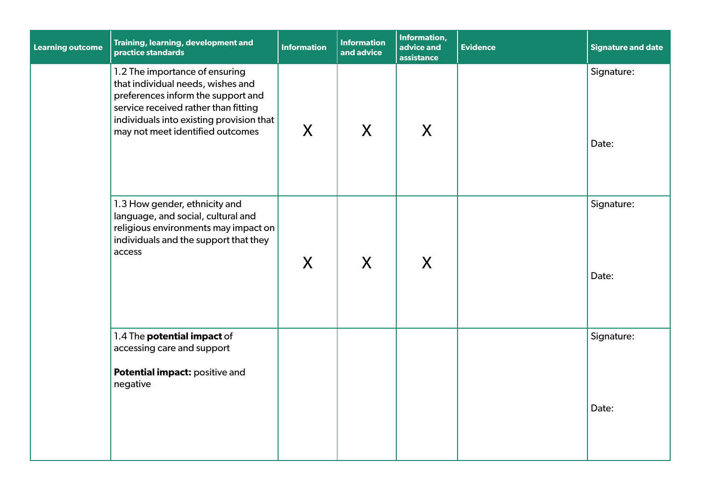| <b>Learning outcome</b> | Training, learning, development and<br>practice standards                                                                                                                                                                         | <b>Information</b> | <b>Information</b><br>and advice | Information,<br>advice and<br>assistance | <b>Evidence</b> | <b>Signature and date</b> |
|-------------------------|-----------------------------------------------------------------------------------------------------------------------------------------------------------------------------------------------------------------------------------|--------------------|----------------------------------|------------------------------------------|-----------------|---------------------------|
|                         | 1.2 The importance of ensuring<br>that individual needs, wishes and<br>preferences inform the support and<br>service received rather than fitting<br>individuals into existing provision that<br>may not meet identified outcomes | X                  | $\mathsf{X}$                     | X                                        |                 | Signature:<br>Date:       |
|                         | 1.3 How gender, ethnicity and<br>language, and social, cultural and<br>religious environments may impact on<br>individuals and the support that they<br>access                                                                    | X                  | X                                | X                                        |                 | Signature:<br>Date:       |
|                         | 1.4 The potential impact of<br>accessing care and support<br>Potential impact: positive and<br>negative                                                                                                                           |                    |                                  |                                          |                 | Signature:<br>Date:       |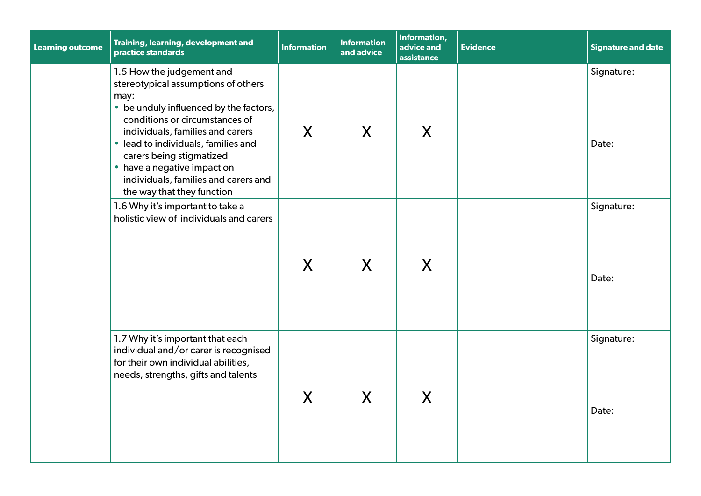| <b>Learning outcome</b> | Training, learning, development and<br>practice standards                                                                                                                                                                                                                                                                                                        | <b>Information</b> | <b>Information</b><br>and advice | Information,<br>advice and<br>assistance | <b>Evidence</b> | <b>Signature and date</b> |
|-------------------------|------------------------------------------------------------------------------------------------------------------------------------------------------------------------------------------------------------------------------------------------------------------------------------------------------------------------------------------------------------------|--------------------|----------------------------------|------------------------------------------|-----------------|---------------------------|
|                         | 1.5 How the judgement and<br>stereotypical assumptions of others<br>may:<br>• be unduly influenced by the factors,<br>conditions or circumstances of<br>individuals, families and carers<br>• lead to individuals, families and<br>carers being stigmatized<br>• have a negative impact on<br>individuals, families and carers and<br>the way that they function | X                  | X                                | X                                        |                 | Signature:<br>Date:       |
|                         | 1.6 Why it's important to take a<br>holistic view of individuals and carers                                                                                                                                                                                                                                                                                      | X                  | X                                | X                                        |                 | Signature:<br>Date:       |
|                         | 1.7 Why it's important that each<br>individual and/or carer is recognised<br>for their own individual abilities,<br>needs, strengths, gifts and talents                                                                                                                                                                                                          | X                  | X                                | X                                        |                 | Signature:<br>Date:       |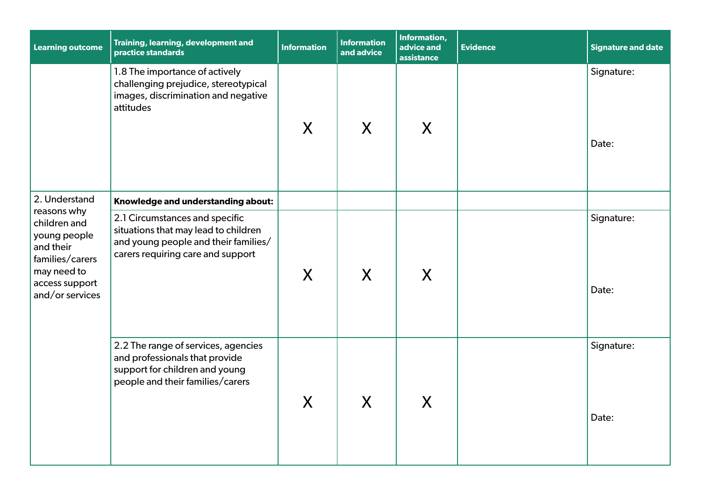| <b>Learning outcome</b>                                                                                                         | Training, learning, development and<br>practice standards                                                                                           | <b>Information</b> | <b>Information</b><br>and advice     | Information,<br>advice and<br>assistance | <b>Evidence</b> | <b>Signature and date</b> |
|---------------------------------------------------------------------------------------------------------------------------------|-----------------------------------------------------------------------------------------------------------------------------------------------------|--------------------|--------------------------------------|------------------------------------------|-----------------|---------------------------|
|                                                                                                                                 | 1.8 The importance of actively<br>challenging prejudice, stereotypical<br>images, discrimination and negative<br>attitudes                          | X                  | X                                    | X                                        |                 | Signature:<br>Date:       |
| 2. Understand                                                                                                                   | Knowledge and understanding about:                                                                                                                  |                    |                                      |                                          |                 |                           |
| reasons why<br>children and<br>young people<br>and their<br>families/carers<br>may need to<br>access support<br>and/or services | 2.1 Circumstances and specific<br>situations that may lead to children<br>and young people and their families/<br>carers requiring care and support | $\sf X$            | X                                    | X                                        |                 | Signature:<br>Date:       |
|                                                                                                                                 | 2.2 The range of services, agencies<br>and professionals that provide<br>support for children and young<br>people and their families/carers         | $\sf X$            | $\mathbf v$<br>$\boldsymbol{\wedge}$ | X                                        |                 | Signature:<br>Date:       |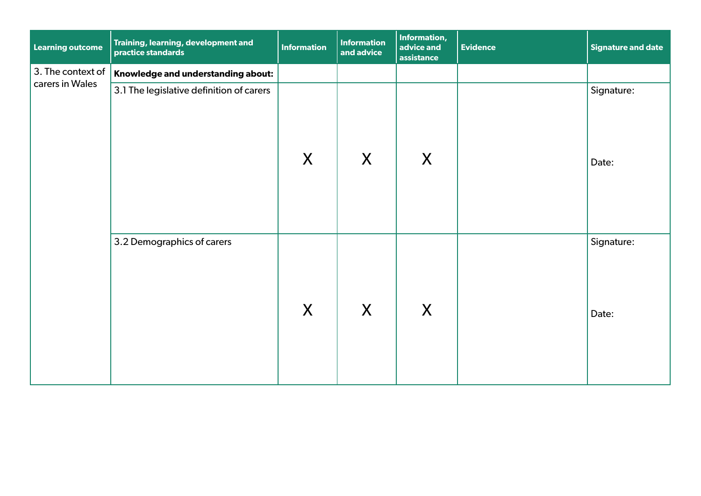| <b>Learning outcome</b>              | Training, learning, development and<br>practice standards | <b>Information</b> | <b>Information</b><br>and advice | Information,<br>advice and<br>assistance | Evidence | $\vert$ Signature and date |
|--------------------------------------|-----------------------------------------------------------|--------------------|----------------------------------|------------------------------------------|----------|----------------------------|
| 3. The context of<br>carers in Wales | Knowledge and understanding about:                        |                    |                                  |                                          |          |                            |
|                                      | 3.1 The legislative definition of carers                  | X                  | X                                | X                                        |          | Signature:<br>Date:        |
|                                      | 3.2 Demographics of carers                                | X                  | X                                | X                                        |          | Signature:<br>Date:        |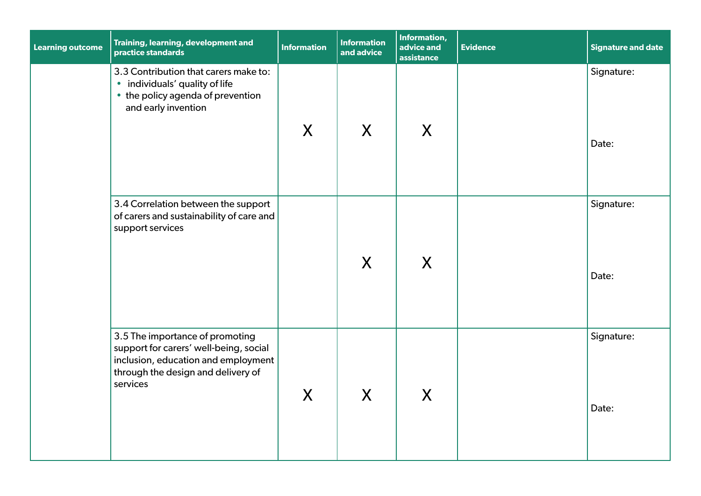| <b>Learning outcome</b> | Training, learning, development and<br>practice standards                                                                                                          | <b>Information</b> | <b>Information</b><br>and advice | Information,<br>advice and<br>assistance | <b>Evidence</b> | <b>Signature and date</b> |
|-------------------------|--------------------------------------------------------------------------------------------------------------------------------------------------------------------|--------------------|----------------------------------|------------------------------------------|-----------------|---------------------------|
|                         | 3.3 Contribution that carers make to:<br>• individuals' quality of life<br>• the policy agenda of prevention<br>and early invention                                | $\sf X$            | $\mathsf{X}$                     | X                                        |                 | Signature:<br>Date:       |
|                         | 3.4 Correlation between the support<br>of carers and sustainability of care and<br>support services                                                                |                    | X                                | X                                        |                 | Signature:<br>Date:       |
|                         | 3.5 The importance of promoting<br>support for carers' well-being, social<br>inclusion, education and employment<br>through the design and delivery of<br>services | $\sf X$            | X                                | X                                        |                 | Signature:<br>Date:       |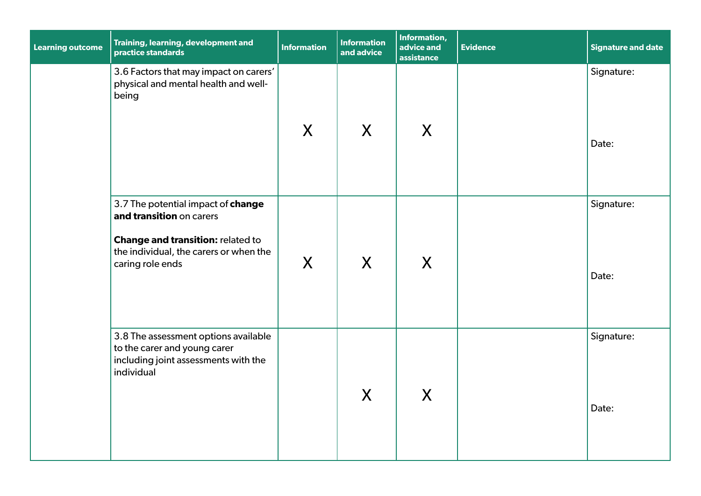| <b>Learning outcome</b> | Training, learning, development and<br>practice standards                                                                                                         | <b>Information</b> | <b>Information</b><br>and advice | Information,<br>advice and<br>assistance | <b>Evidence</b> | <b>Signature and date</b> |
|-------------------------|-------------------------------------------------------------------------------------------------------------------------------------------------------------------|--------------------|----------------------------------|------------------------------------------|-----------------|---------------------------|
|                         | 3.6 Factors that may impact on carers'<br>physical and mental health and well-<br>being                                                                           | $\mathsf{X}$       | $\mathsf{X}$                     | X                                        |                 | Signature:<br>Date:       |
|                         | 3.7 The potential impact of change<br>and transition on carers<br>Change and transition: related to<br>the individual, the carers or when the<br>caring role ends | $\sf X$            | X                                | X                                        |                 | Signature:<br>Date:       |
|                         | 3.8 The assessment options available<br>to the carer and young carer<br>including joint assessments with the<br>individual                                        |                    | $\mathsf{X}$                     | X                                        |                 | Signature:<br>Date:       |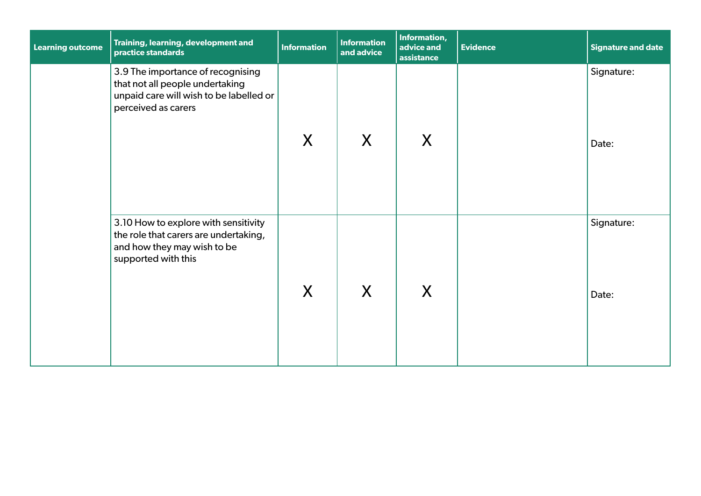| <b>Learning outcome</b> | Training, learning, development and<br>practice standards                                                                              | <b>Information</b> | <b>Information</b><br>and advice | Information,<br>advice and<br>assistance | <b>Evidence</b> | Signature and date  |
|-------------------------|----------------------------------------------------------------------------------------------------------------------------------------|--------------------|----------------------------------|------------------------------------------|-----------------|---------------------|
|                         | 3.9 The importance of recognising<br>that not all people undertaking<br>unpaid care will wish to be labelled or<br>perceived as carers | X                  | X                                | X                                        |                 | Signature:<br>Date: |
|                         | 3.10 How to explore with sensitivity<br>the role that carers are undertaking,<br>and how they may wish to be<br>supported with this    | X                  | X                                | X                                        |                 | Signature:<br>Date: |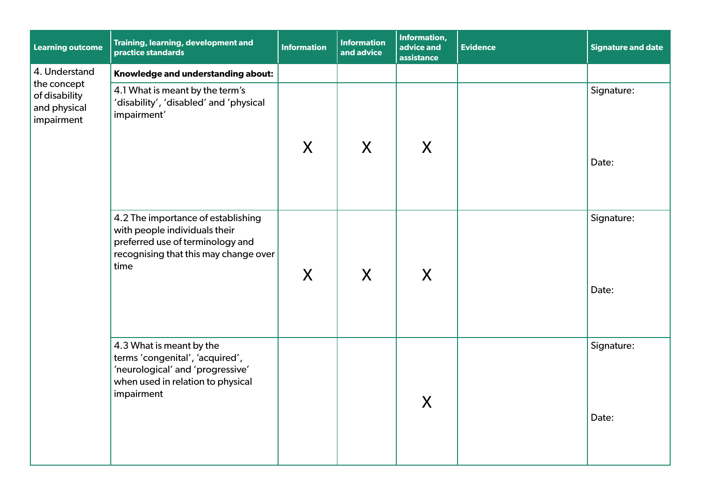| <b>Learning outcome</b>                                    | Training, learning, development and<br>practice standards                                                                                                | <b>Information</b> | <b>Information</b><br>and advice | Information,<br>advice and<br>assistance | <b>Evidence</b> | <b>Signature and date</b> |
|------------------------------------------------------------|----------------------------------------------------------------------------------------------------------------------------------------------------------|--------------------|----------------------------------|------------------------------------------|-----------------|---------------------------|
| 4. Understand                                              | Knowledge and understanding about:                                                                                                                       |                    |                                  |                                          |                 |                           |
| the concept<br>of disability<br>and physical<br>impairment | 4.1 What is meant by the term's<br>'disability', 'disabled' and 'physical<br>impairment'                                                                 |                    |                                  |                                          |                 | Signature:                |
|                                                            |                                                                                                                                                          | X                  | X                                | X                                        |                 | Date:                     |
|                                                            | 4.2 The importance of establishing<br>with people individuals their<br>preferred use of terminology and<br>recognising that this may change over<br>time | X                  | X                                | X                                        |                 | Signature:<br>Date:       |
|                                                            | 4.3 What is meant by the<br>terms 'congenital', 'acquired',<br>'neurological' and 'progressive'<br>when used in relation to physical<br>impairment       |                    |                                  | X                                        |                 | Signature:<br>Date:       |
|                                                            |                                                                                                                                                          |                    |                                  |                                          |                 |                           |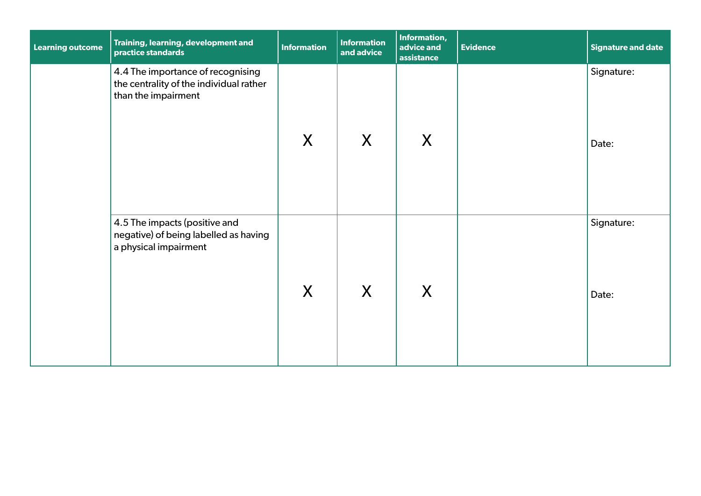| <b>Learning outcome</b> | Training, learning, development and<br>practice standards                                           | <b>Information</b> | Information<br>and advice | Information,<br>advice and<br>assistance | <b>Evidence</b> | Signature and date  |
|-------------------------|-----------------------------------------------------------------------------------------------------|--------------------|---------------------------|------------------------------------------|-----------------|---------------------|
|                         | 4.4 The importance of recognising<br>the centrality of the individual rather<br>than the impairment | X                  | X                         | X                                        |                 | Signature:<br>Date: |
|                         | 4.5 The impacts (positive and<br>negative) of being labelled as having<br>a physical impairment     | X                  | X                         | X                                        |                 | Signature:<br>Date: |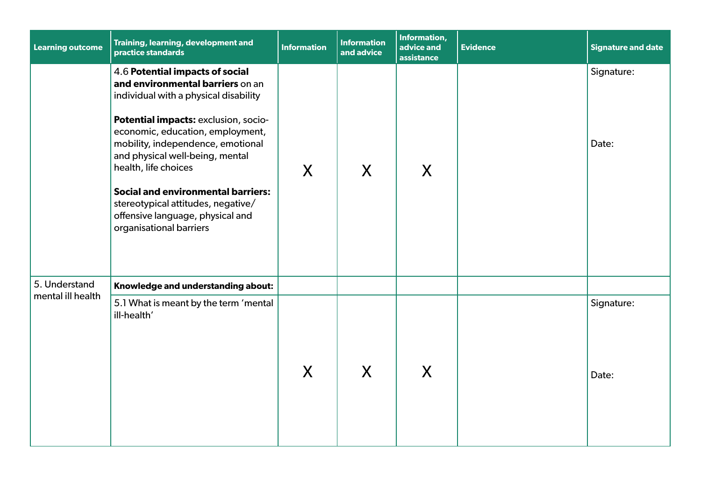| <b>Learning outcome</b> | Training, learning, development and<br>practice standards                                                                                                                                                                                                                                                                                                                                                                                  | <b>Information</b> | <b>Information</b><br>and advice | Information,<br>advice and<br>assistance | <b>Evidence</b> | <b>Signature and date</b> |
|-------------------------|--------------------------------------------------------------------------------------------------------------------------------------------------------------------------------------------------------------------------------------------------------------------------------------------------------------------------------------------------------------------------------------------------------------------------------------------|--------------------|----------------------------------|------------------------------------------|-----------------|---------------------------|
|                         | 4.6 Potential impacts of social<br>and environmental barriers on an<br>individual with a physical disability<br>Potential impacts: exclusion, socio-<br>economic, education, employment,<br>mobility, independence, emotional<br>and physical well-being, mental<br>health, life choices<br><b>Social and environmental barriers:</b><br>stereotypical attitudes, negative/<br>offensive language, physical and<br>organisational barriers | X                  | X                                | X                                        |                 | Signature:<br>Date:       |
| 5. Understand           | Knowledge and understanding about:                                                                                                                                                                                                                                                                                                                                                                                                         |                    |                                  |                                          |                 |                           |
| mental ill health       | 5.1 What is meant by the term 'mental<br>ill-health'                                                                                                                                                                                                                                                                                                                                                                                       | X                  | X                                | X                                        |                 | Signature:<br>Date:       |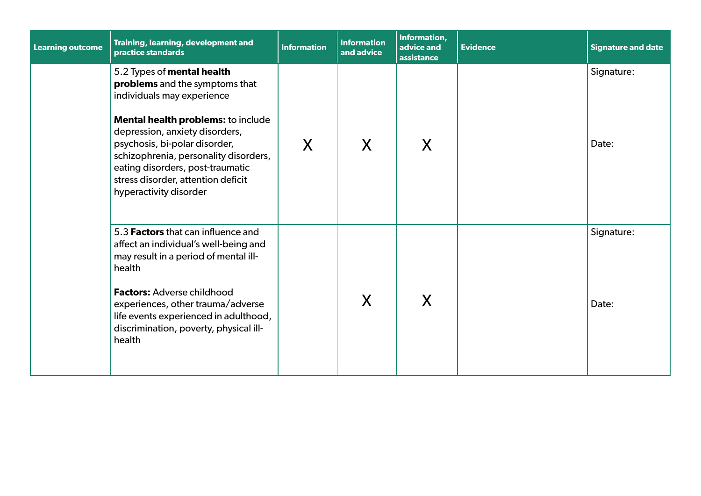| <b>Learning outcome</b> | Training, learning, development and<br>practice standards                                                                                                                                                                                                                                                                                        | <b>Information</b> | <b>Information</b><br>and advice | Information,<br>advice and<br>assistance | <b>Evidence</b> | <b>Signature and date</b> |
|-------------------------|--------------------------------------------------------------------------------------------------------------------------------------------------------------------------------------------------------------------------------------------------------------------------------------------------------------------------------------------------|--------------------|----------------------------------|------------------------------------------|-----------------|---------------------------|
|                         | 5.2 Types of mental health<br>problems and the symptoms that<br>individuals may experience<br>Mental health problems: to include<br>depression, anxiety disorders,<br>psychosis, bi-polar disorder,<br>schizophrenia, personality disorders,<br>eating disorders, post-traumatic<br>stress disorder, attention deficit<br>hyperactivity disorder | X                  | X                                | X                                        |                 | Signature:<br>Date:       |
|                         | 5.3 Factors that can influence and<br>affect an individual's well-being and<br>may result in a period of mental ill-<br>health<br><b>Factors: Adverse childhood</b><br>experiences, other trauma/adverse<br>life events experienced in adulthood,<br>discrimination, poverty, physical ill-<br>health                                            |                    | X                                | X                                        |                 | Signature:<br>Date:       |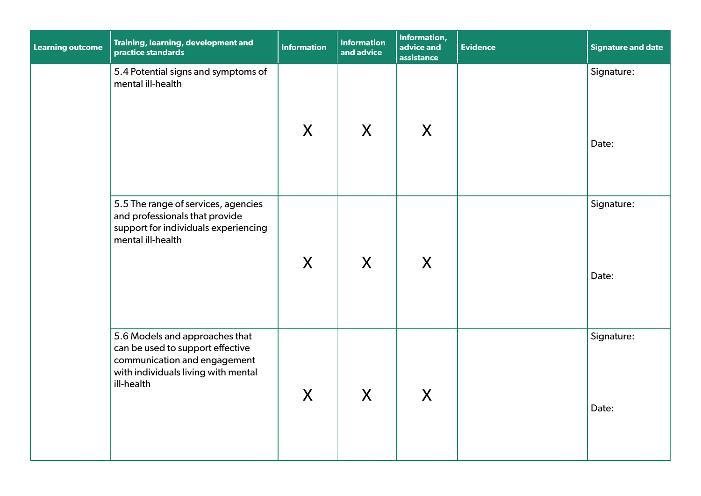| <b>Learning outcome</b> | Training, learning, development and<br>practice standards                                                                                               | <b>Information</b> | <b>Information</b><br>and advice | Information,<br>advice and<br>assistance | <b>Evidence</b> | <b>Signature and date</b> |
|-------------------------|---------------------------------------------------------------------------------------------------------------------------------------------------------|--------------------|----------------------------------|------------------------------------------|-----------------|---------------------------|
|                         | 5.4 Potential signs and symptoms of<br>mental ill-health                                                                                                | X                  | $\mathsf{X}$                     | X                                        |                 | Signature:<br>Date:       |
|                         | 5.5 The range of services, agencies<br>and professionals that provide<br>support for individuals experiencing<br>mental ill-health                      | $\sf X$            | X                                | X                                        |                 | Signature:<br>Date:       |
|                         | 5.6 Models and approaches that<br>can be used to support effective<br>communication and engagement<br>with individuals living with mental<br>ill-health | X                  | X                                | X                                        |                 | Signature:<br>Date:       |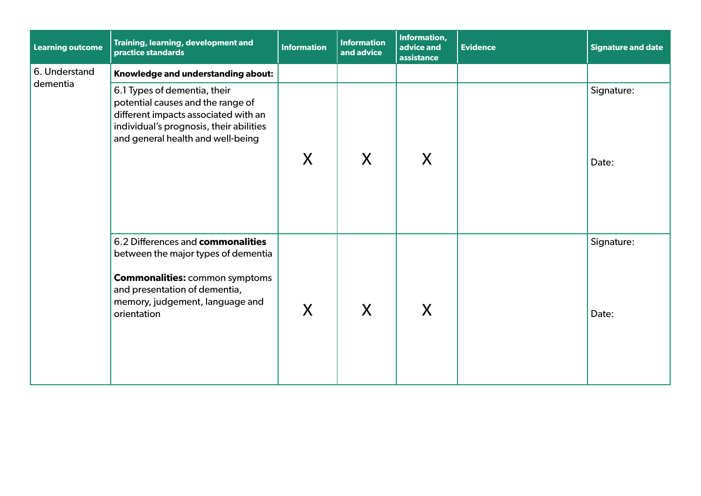| <b>Learning outcome</b>   | Training, learning, development and<br>practice standards                                                                                                                                            | <b>Information</b> | <b>Information</b><br>and advice | Information,<br>advice and<br>assistance | <b>Evidence</b> | <b>Signature and date</b> |
|---------------------------|------------------------------------------------------------------------------------------------------------------------------------------------------------------------------------------------------|--------------------|----------------------------------|------------------------------------------|-----------------|---------------------------|
| 6. Understand<br>dementia | Knowledge and understanding about:                                                                                                                                                                   |                    |                                  |                                          |                 |                           |
|                           | 6.1 Types of dementia, their<br>potential causes and the range of<br>different impacts associated with an<br>individual's prognosis, their abilities<br>and general health and well-being            | X                  | X                                | X                                        |                 | Signature:<br>Date:       |
|                           | 6.2 Differences and commonalities<br>between the major types of dementia<br><b>Commonalities: common symptoms</b><br>and presentation of dementia,<br>memory, judgement, language and<br>orientation | X                  | X                                | X                                        |                 | Signature:<br>Date:       |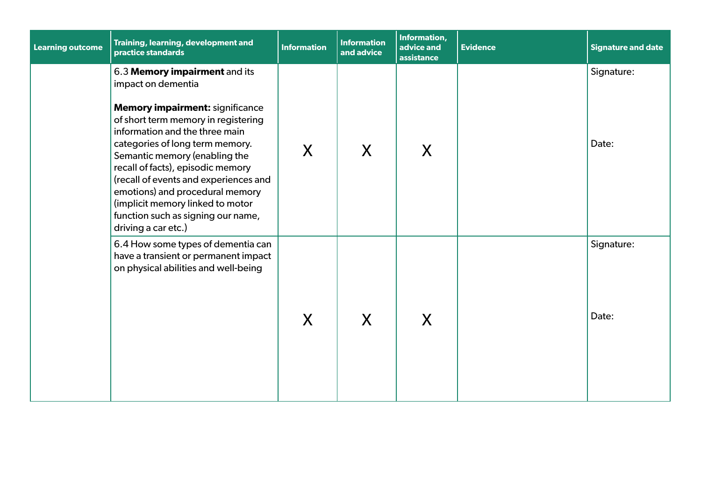| <b>Learning outcome</b> | Training, learning, development and<br>practice standards                                                                                                                                                                                                                                                                                                                                                                                                    | <b>Information</b> | <b>Information</b><br>and advice | Information,<br>advice and<br>assistance | <b>Evidence</b> | <b>Signature and date</b> |
|-------------------------|--------------------------------------------------------------------------------------------------------------------------------------------------------------------------------------------------------------------------------------------------------------------------------------------------------------------------------------------------------------------------------------------------------------------------------------------------------------|--------------------|----------------------------------|------------------------------------------|-----------------|---------------------------|
|                         | 6.3 Memory impairment and its<br>impact on dementia<br><b>Memory impairment: significance</b><br>of short term memory in registering<br>information and the three main<br>categories of long term memory.<br>Semantic memory (enabling the<br>recall of facts), episodic memory<br>(recall of events and experiences and<br>emotions) and procedural memory<br>(implicit memory linked to motor<br>function such as signing our name,<br>driving a car etc.) | X                  | X                                | X                                        |                 | Signature:<br>Date:       |
|                         | 6.4 How some types of dementia can<br>have a transient or permanent impact<br>on physical abilities and well-being                                                                                                                                                                                                                                                                                                                                           | X                  | X                                | X                                        |                 | Signature:<br>Date:       |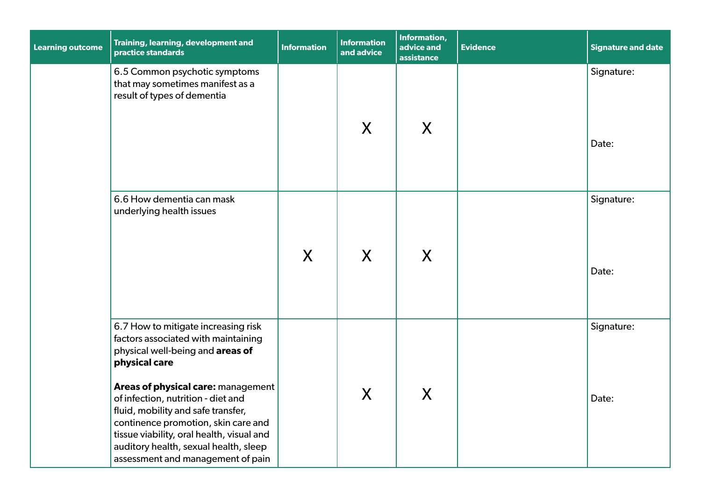| <b>Learning outcome</b> | Training, learning, development and<br>practice standards                                                                                                                                                                                                                                                                                                                                                           | <b>Information</b> | <b>Information</b><br>and advice | Information,<br>advice and<br>assistance | <b>Evidence</b> | <b>Signature and date</b> |
|-------------------------|---------------------------------------------------------------------------------------------------------------------------------------------------------------------------------------------------------------------------------------------------------------------------------------------------------------------------------------------------------------------------------------------------------------------|--------------------|----------------------------------|------------------------------------------|-----------------|---------------------------|
|                         | 6.5 Common psychotic symptoms<br>that may sometimes manifest as a<br>result of types of dementia                                                                                                                                                                                                                                                                                                                    |                    | X                                | X                                        |                 | Signature:<br>Date:       |
|                         | 6.6 How dementia can mask<br>underlying health issues                                                                                                                                                                                                                                                                                                                                                               | X                  | X                                | X                                        |                 | Signature:<br>Date:       |
|                         | 6.7 How to mitigate increasing risk<br>factors associated with maintaining<br>physical well-being and areas of<br>physical care<br>Areas of physical care: management<br>of infection, nutrition - diet and<br>fluid, mobility and safe transfer,<br>continence promotion, skin care and<br>tissue viability, oral health, visual and<br>auditory health, sexual health, sleep<br>assessment and management of pain |                    | X                                | X                                        |                 | Signature:<br>Date:       |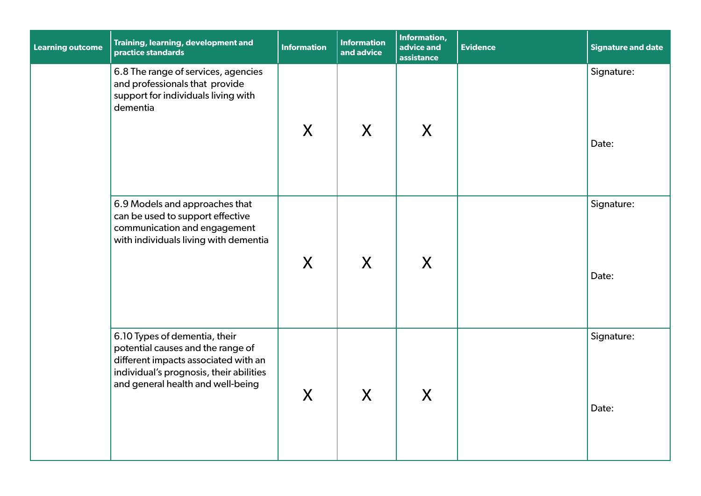| <b>Learning outcome</b> | Training, learning, development and<br>practice standards                                                                                                                                  | <b>Information</b> | <b>Information</b><br>and advice | Information,<br>advice and<br>assistance | <b>Evidence</b> | <b>Signature and date</b> |
|-------------------------|--------------------------------------------------------------------------------------------------------------------------------------------------------------------------------------------|--------------------|----------------------------------|------------------------------------------|-----------------|---------------------------|
|                         | 6.8 The range of services, agencies<br>and professionals that provide<br>support for individuals living with<br>dementia                                                                   | X                  | X                                | X                                        |                 | Signature:<br>Date:       |
|                         | 6.9 Models and approaches that<br>can be used to support effective<br>communication and engagement<br>with individuals living with dementia                                                | X                  | X                                | X                                        |                 | Signature:<br>Date:       |
|                         | 6.10 Types of dementia, their<br>potential causes and the range of<br>different impacts associated with an<br>individual's prognosis, their abilities<br>and general health and well-being | X                  | X                                | X                                        |                 | Signature:<br>Date:       |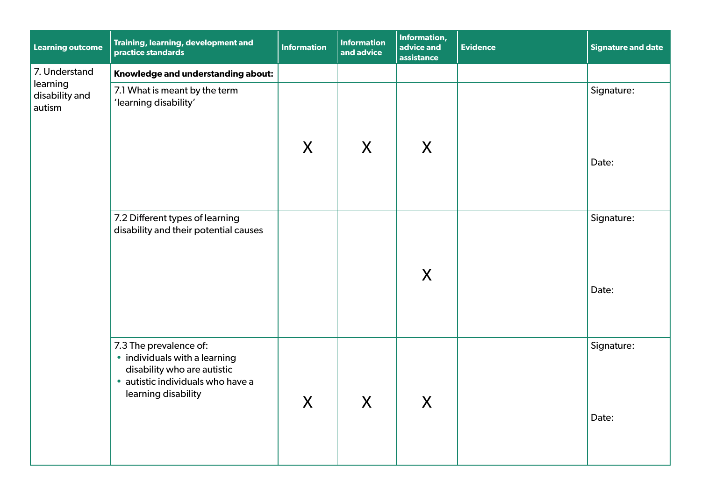| <b>Learning outcome</b>              | Training, learning, development and<br>practice standards                                                                                          | <b>Information</b> | <b>Information</b><br>and advice | Information,<br>advice and<br>assistance | <b>Evidence</b> | Signature and date  |
|--------------------------------------|----------------------------------------------------------------------------------------------------------------------------------------------------|--------------------|----------------------------------|------------------------------------------|-----------------|---------------------|
| 7. Understand                        | Knowledge and understanding about:                                                                                                                 |                    |                                  |                                          |                 |                     |
| learning<br>disability and<br>autism | 7.1 What is meant by the term<br>'learning disability'                                                                                             |                    |                                  |                                          |                 | Signature:          |
|                                      |                                                                                                                                                    | X                  | X                                | X                                        |                 | Date:               |
|                                      | 7.2 Different types of learning<br>disability and their potential causes                                                                           |                    |                                  | X                                        |                 | Signature:          |
|                                      |                                                                                                                                                    |                    |                                  |                                          |                 | Date:               |
|                                      | 7.3 The prevalence of:<br>• individuals with a learning<br>disability who are autistic<br>· autistic individuals who have a<br>learning disability | $\boldsymbol{X}$   | $\boldsymbol{X}$                 | X                                        |                 | Signature:<br>Date: |
|                                      |                                                                                                                                                    |                    |                                  |                                          |                 |                     |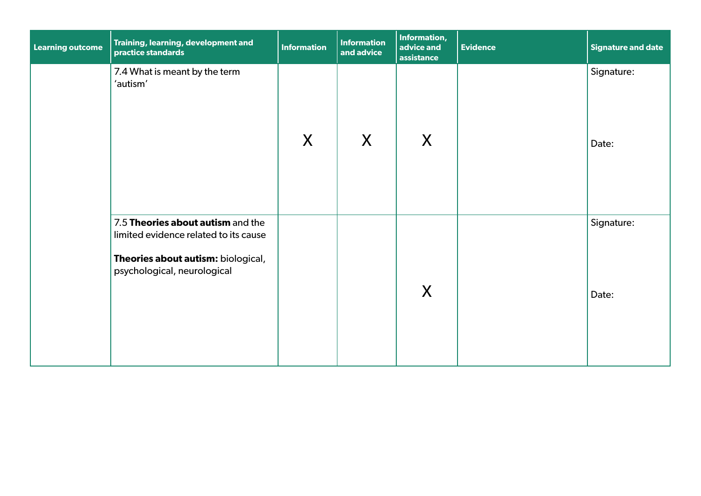| <b>Learning outcome</b> | Training, learning, development and<br>practice standards                                                                                       | <b>Information</b> | <b>Information</b><br>and advice | Information,<br>advice and<br>assistance | <b>Evidence</b> | Signature and date  |
|-------------------------|-------------------------------------------------------------------------------------------------------------------------------------------------|--------------------|----------------------------------|------------------------------------------|-----------------|---------------------|
|                         | 7.4 What is meant by the term<br>'autism'                                                                                                       | X                  | X                                | X                                        |                 | Signature:<br>Date: |
|                         | 7.5 Theories about autism and the<br>limited evidence related to its cause<br>Theories about autism: biological,<br>psychological, neurological |                    |                                  | X                                        |                 | Signature:<br>Date: |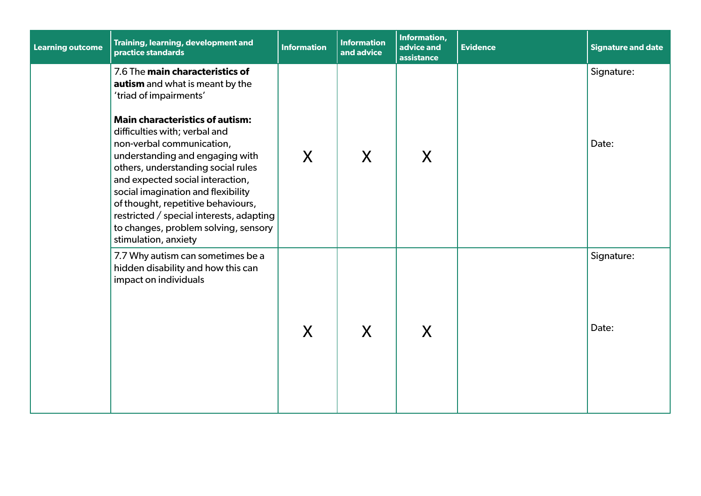| <b>Learning outcome</b> | Training, learning, development and<br>practice standards                                                                                                                                                                                                                                                                                                                                                                                                                                                 | <b>Information</b> | <b>Information</b><br>and advice | Information,<br>advice and<br>assistance | <b>Evidence</b> | <b>Signature and date</b> |
|-------------------------|-----------------------------------------------------------------------------------------------------------------------------------------------------------------------------------------------------------------------------------------------------------------------------------------------------------------------------------------------------------------------------------------------------------------------------------------------------------------------------------------------------------|--------------------|----------------------------------|------------------------------------------|-----------------|---------------------------|
|                         | 7.6 The main characteristics of<br>autism and what is meant by the<br>'triad of impairments'<br><b>Main characteristics of autism:</b><br>difficulties with; verbal and<br>non-verbal communication,<br>understanding and engaging with<br>others, understanding social rules<br>and expected social interaction,<br>social imagination and flexibility<br>of thought, repetitive behaviours,<br>restricted / special interests, adapting<br>to changes, problem solving, sensory<br>stimulation, anxiety | X                  | X                                | X                                        |                 | Signature:<br>Date:       |
|                         | 7.7 Why autism can sometimes be a<br>hidden disability and how this can<br>impact on individuals                                                                                                                                                                                                                                                                                                                                                                                                          | X                  | X                                | X                                        |                 | Signature:<br>Date:       |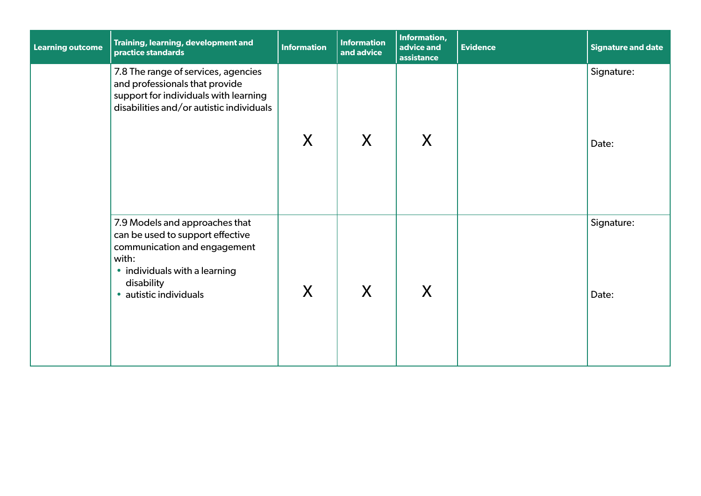| <b>Learning outcome</b> | Training, learning, development and<br>practice standards                                                                                                                            | <b>Information</b> | <b>Information</b><br>and advice | Information,<br>advice and<br>assistance | <b>Evidence</b> | <b>Signature and date</b> |
|-------------------------|--------------------------------------------------------------------------------------------------------------------------------------------------------------------------------------|--------------------|----------------------------------|------------------------------------------|-----------------|---------------------------|
|                         | 7.8 The range of services, agencies<br>and professionals that provide<br>support for individuals with learning<br>disabilities and/or autistic individuals                           | X                  | X                                | X                                        |                 | Signature:<br>Date:       |
|                         | 7.9 Models and approaches that<br>can be used to support effective<br>communication and engagement<br>with:<br>• individuals with a learning<br>disability<br>· autistic individuals | X                  | X                                | X                                        |                 | Signature:<br>Date:       |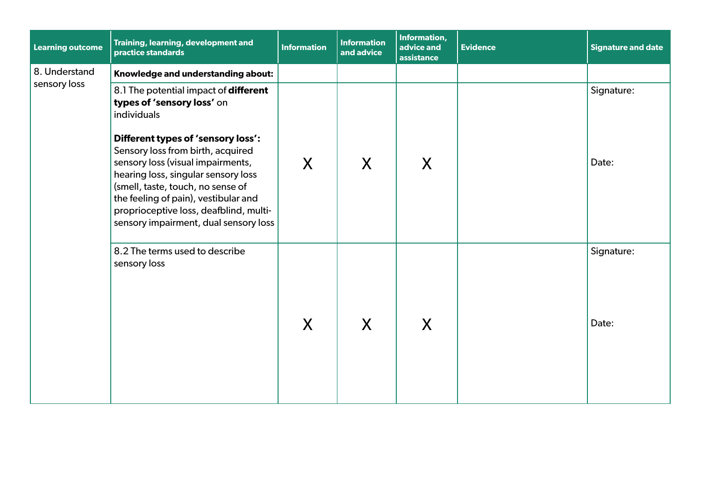| <b>Learning outcome</b> | Training, learning, development and<br>practice standards                                                                                                                                                                                                                     | <b>Information</b> | <b>Information</b><br>and advice | Information,<br>advice and<br>assistance | <b>Evidence</b> | <b>Signature and date</b> |
|-------------------------|-------------------------------------------------------------------------------------------------------------------------------------------------------------------------------------------------------------------------------------------------------------------------------|--------------------|----------------------------------|------------------------------------------|-----------------|---------------------------|
| 8. Understand           | Knowledge and understanding about:                                                                                                                                                                                                                                            |                    |                                  |                                          |                 |                           |
| sensory loss            | 8.1 The potential impact of different<br>types of 'sensory loss' on<br>individuals<br>Different types of 'sensory loss':                                                                                                                                                      |                    |                                  |                                          |                 | Signature:                |
|                         | Sensory loss from birth, acquired<br>sensory loss (visual impairments,<br>hearing loss, singular sensory loss<br>(smell, taste, touch, no sense of<br>the feeling of pain), vestibular and<br>proprioceptive loss, deafblind, multi-<br>sensory impairment, dual sensory loss | X                  | X                                | X                                        |                 | Date:                     |
|                         | 8.2 The terms used to describe<br>sensory loss                                                                                                                                                                                                                                | X                  | X                                | X                                        |                 | Signature:<br>Date:       |
|                         |                                                                                                                                                                                                                                                                               |                    |                                  |                                          |                 |                           |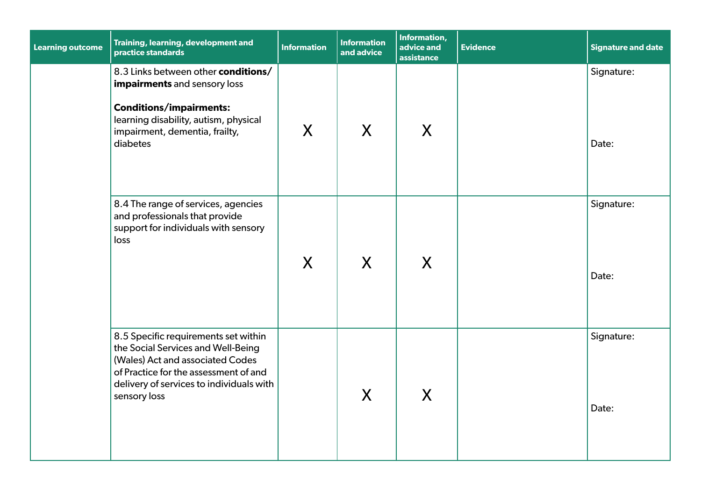| <b>Learning outcome</b> | Training, learning, development and<br>practice standards                                                                                                                                                           | <b>Information</b> | <b>Information</b><br>and advice | Information,<br>advice and<br>assistance | <b>Evidence</b> | <b>Signature and date</b> |
|-------------------------|---------------------------------------------------------------------------------------------------------------------------------------------------------------------------------------------------------------------|--------------------|----------------------------------|------------------------------------------|-----------------|---------------------------|
|                         | 8.3 Links between other conditions/<br>impairments and sensory loss<br><b>Conditions/impairments:</b><br>learning disability, autism, physical<br>impairment, dementia, frailty,<br>diabetes                        | X                  | X                                | X                                        |                 | Signature:<br>Date:       |
|                         | 8.4 The range of services, agencies<br>and professionals that provide<br>support for individuals with sensory<br>loss                                                                                               | X                  | $\mathsf{X}$                     | X                                        |                 | Signature:<br>Date:       |
|                         | 8.5 Specific requirements set within<br>the Social Services and Well-Being<br>(Wales) Act and associated Codes<br>of Practice for the assessment of and<br>delivery of services to individuals with<br>sensory loss |                    | X                                | X                                        |                 | Signature:<br>Date:       |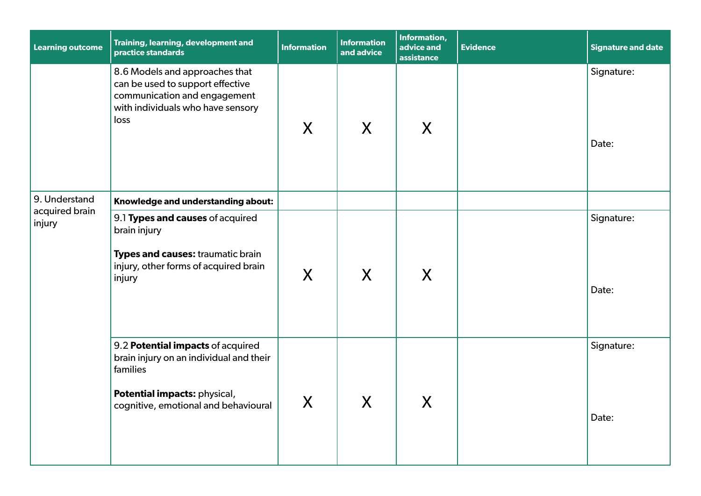| <b>Learning outcome</b>                   | Training, learning, development and<br>practice standards                                                                                                        | <b>Information</b> | <b>Information</b><br>and advice | Information,<br>advice and<br>assistance | <b>Evidence</b> | <b>Signature and date</b> |
|-------------------------------------------|------------------------------------------------------------------------------------------------------------------------------------------------------------------|--------------------|----------------------------------|------------------------------------------|-----------------|---------------------------|
|                                           | 8.6 Models and approaches that<br>can be used to support effective<br>communication and engagement<br>with individuals who have sensory<br>loss                  | X                  | $\sf X$                          | X                                        |                 | Signature:<br>Date:       |
| 9. Understand<br>acquired brain<br>injury | Knowledge and understanding about:                                                                                                                               |                    |                                  |                                          |                 |                           |
|                                           | 9.1 Types and causes of acquired<br>brain injury<br>Types and causes: traumatic brain<br>injury, other forms of acquired brain<br>injury                         | X                  | $\mathsf{X}$                     | X                                        |                 | Signature:<br>Date:       |
|                                           | 9.2 Potential impacts of acquired<br>brain injury on an individual and their<br>families<br>Potential impacts: physical,<br>cognitive, emotional and behavioural | $\sf X$            | $\boldsymbol{X}$                 | X                                        |                 | Signature:<br>Date:       |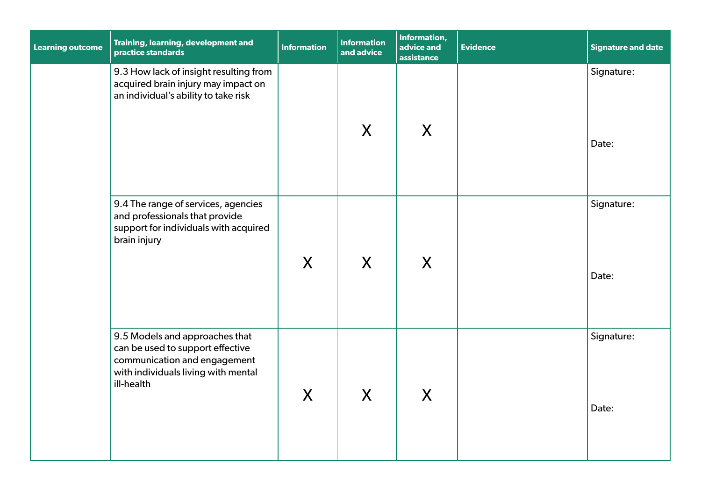| <b>Learning outcome</b> | Training, learning, development and<br>practice standards                                                                                               | <b>Information</b> | <b>Information</b><br>and advice | Information,<br>advice and<br>assistance | <b>Evidence</b> | <b>Signature and date</b> |
|-------------------------|---------------------------------------------------------------------------------------------------------------------------------------------------------|--------------------|----------------------------------|------------------------------------------|-----------------|---------------------------|
|                         | 9.3 How lack of insight resulting from<br>acquired brain injury may impact on<br>an individual's ability to take risk                                   |                    | $\mathsf{X}$                     | X                                        |                 | Signature:<br>Date:       |
|                         | 9.4 The range of services, agencies<br>and professionals that provide<br>support for individuals with acquired<br>brain injury                          | X                  | X                                | X                                        |                 | Signature:<br>Date:       |
|                         | 9.5 Models and approaches that<br>can be used to support effective<br>communication and engagement<br>with individuals living with mental<br>ill-health | $\mathsf{X}$       | X                                | X                                        |                 | Signature:<br>Date:       |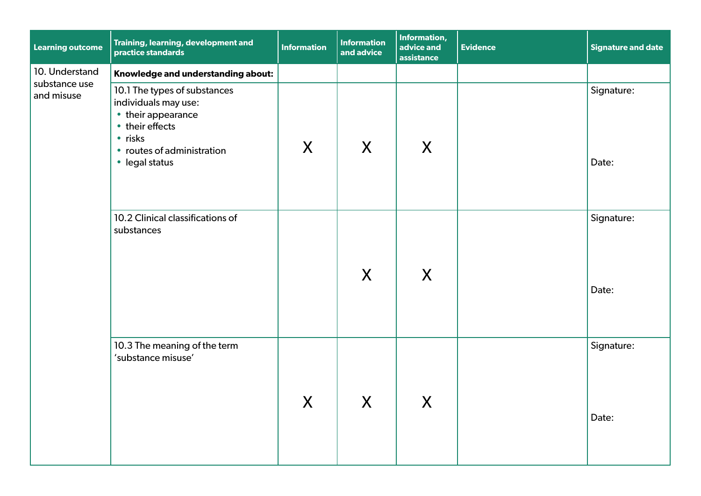| <b>Learning outcome</b>                       | Training, learning, development and<br>practice standards                                                                                                      | <b>Information</b> | <b>Information</b><br>and advice | Information,<br>advice and<br>assistance | <b>Evidence</b> | Signature and date  |
|-----------------------------------------------|----------------------------------------------------------------------------------------------------------------------------------------------------------------|--------------------|----------------------------------|------------------------------------------|-----------------|---------------------|
| 10. Understand<br>substance use<br>and misuse | Knowledge and understanding about:                                                                                                                             |                    |                                  |                                          |                 |                     |
|                                               | 10.1 The types of substances<br>individuals may use:<br>• their appearance<br>• their effects<br>$\cdot$ risks<br>• routes of administration<br>• legal status | X                  | X                                | X                                        |                 | Signature:<br>Date: |
|                                               | 10.2 Clinical classifications of<br>substances                                                                                                                 |                    | X                                | X                                        |                 | Signature:<br>Date: |
|                                               | 10.3 The meaning of the term<br>'substance misuse'                                                                                                             | $\boldsymbol{X}$   | $\boldsymbol{X}$                 | $\boldsymbol{X}$                         |                 | Signature:<br>Date: |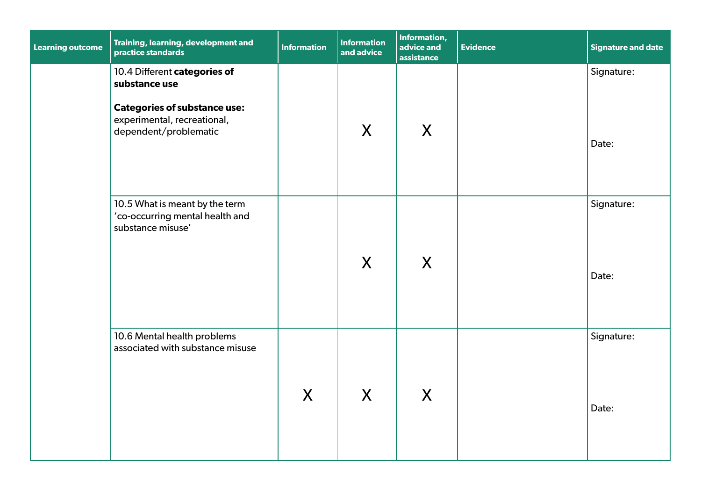| <b>Learning outcome</b> | Training, learning, development and<br>practice standards                                                                                    | <b>Information</b> | <b>Information</b><br>and advice | Information,<br>advice and<br>assistance | <b>Evidence</b> | <b>Signature and date</b> |
|-------------------------|----------------------------------------------------------------------------------------------------------------------------------------------|--------------------|----------------------------------|------------------------------------------|-----------------|---------------------------|
|                         | 10.4 Different categories of<br>substance use<br><b>Categories of substance use:</b><br>experimental, recreational,<br>dependent/problematic |                    | X                                | $\mathsf{X}$                             |                 | Signature:<br>Date:       |
|                         |                                                                                                                                              |                    |                                  |                                          |                 |                           |
|                         | 10.5 What is meant by the term<br>'co-occurring mental health and<br>substance misuse'                                                       |                    | X                                | $\mathsf{X}$                             |                 | Signature:<br>Date:       |
|                         | 10.6 Mental health problems<br>associated with substance misuse                                                                              | X                  | X                                | $\mathsf{X}$                             |                 | Signature:<br>Date:       |